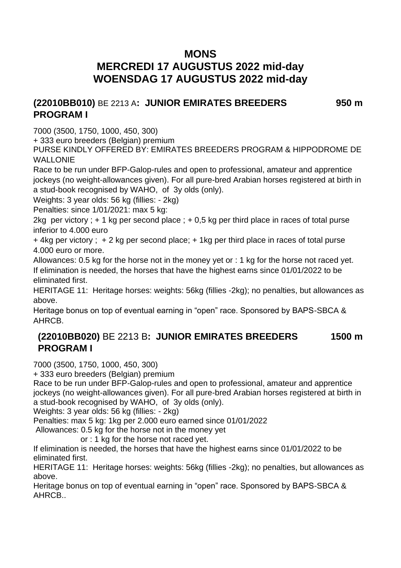# **MONS MERCREDI 17 AUGUSTUS 2022 mid-day WOENSDAG 17 AUGUSTUS 2022 mid-day**

#### **(22010BB010)** BE 2213 A**: JUNIOR EMIRATES BREEDERS PROGRAM I 950 m**

7000 (3500, 1750, 1000, 450, 300)

+ 333 euro breeders (Belgian) premium

PURSE KINDLY OFFERED BY: EMIRATES BREEDERS PROGRAM & HIPPODROME DE WALLONIE

Race to be run under BFP-Galop-rules and open to professional, amateur and apprentice jockeys (no weight-allowances given). For all pure-bred Arabian horses registered at birth in a stud-book recognised by WAHO, of 3y olds (only).

Weights: 3 year olds: 56 kg (fillies: - 2kg)

Penalties: since 1/01/2021: max 5 kg:

2kg per victory ;  $+1$  kg per second place ;  $+0.5$  kg per third place in races of total purse inferior to 4.000 euro

+ 4kg per victory ; + 2 kg per second place; + 1kg per third place in races of total purse 4.000 euro or more.

Allowances: 0.5 kg for the horse not in the money yet or : 1 kg for the horse not raced yet. If elimination is needed, the horses that have the highest earns since 01/01/2022 to be eliminated first.

HERITAGE 11: Heritage horses: weights: 56kg (fillies -2kg); no penalties, but allowances as above.

Heritage bonus on top of eventual earning in "open" race. Sponsored by BAPS-SBCA & AHRCB.

#### **(22010BB020)** BE 2213 B**: JUNIOR EMIRATES BREEDERS PROGRAM I 1500 m**

7000 (3500, 1750, 1000, 450, 300)

+ 333 euro breeders (Belgian) premium

Race to be run under BFP-Galop-rules and open to professional, amateur and apprentice jockeys (no weight-allowances given). For all pure-bred Arabian horses registered at birth in a stud-book recognised by WAHO, of 3y olds (only).

Weights: 3 year olds: 56 kg (fillies: - 2kg)

Penalties: max 5 kg: 1kg per 2.000 euro earned since 01/01/2022

Allowances: 0.5 kg for the horse not in the money yet

or : 1 kg for the horse not raced yet.

If elimination is needed, the horses that have the highest earns since 01/01/2022 to be eliminated first.

HERITAGE 11: Heritage horses: weights: 56kg (fillies -2kg); no penalties, but allowances as above.

Heritage bonus on top of eventual earning in "open" race. Sponsored by BAPS-SBCA & AHRCB..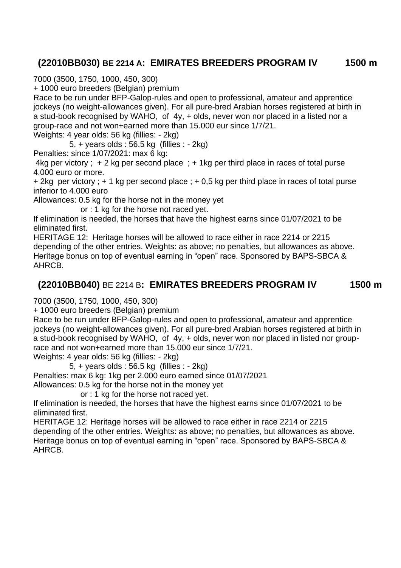# **(22010BB030) BE 2214 A: EMIRATES BREEDERS PROGRAM IV 1500 m**

7000 (3500, 1750, 1000, 450, 300)

+ 1000 euro breeders (Belgian) premium

Race to be run under BFP-Galop-rules and open to professional, amateur and apprentice jockeys (no weight-allowances given). For all pure-bred Arabian horses registered at birth in a stud-book recognised by WAHO, of 4y, + olds, never won nor placed in a listed nor a group-race and not won+earned more than 15.000 eur since 1/7/21.

Weights: 4 year olds: 56 kg (fillies: - 2kg)

5, + years olds : 56.5 kg (fillies : - 2kg)

Penalties: since 1/07/2021: max 6 kg:

4kg per victory ; + 2 kg per second place ; + 1kg per third place in races of total purse 4.000 euro or more.

+ 2kg per victory ; + 1 kg per second place ; + 0,5 kg per third place in races of total purse inferior to 4.000 euro

Allowances: 0.5 kg for the horse not in the money yet

or : 1 kg for the horse not raced yet.

If elimination is needed, the horses that have the highest earns since 01/07/2021 to be eliminated first.

HERITAGE 12: Heritage horses will be allowed to race either in race 2214 or 2215 depending of the other entries. Weights: as above; no penalties, but allowances as above. Heritage bonus on top of eventual earning in "open" race. Sponsored by BAPS-SBCA & AHRCB.

### **(22010BB040)** BE 2214 B**: EMIRATES BREEDERS PROGRAM IV 1500 m**

7000 (3500, 1750, 1000, 450, 300)

+ 1000 euro breeders (Belgian) premium

Race to be run under BFP-Galop-rules and open to professional, amateur and apprentice jockeys (no weight-allowances given). For all pure-bred Arabian horses registered at birth in a stud-book recognised by WAHO, of 4y, + olds, never won nor placed in listed nor grouprace and not won+earned more than 15.000 eur since 1/7/21.

Weights: 4 year olds: 56 kg (fillies: - 2kg)

5, + years olds : 56.5 kg (fillies : - 2kg)

Penalties: max 6 kg: 1kg per 2.000 euro earned since 01/07/2021

Allowances: 0.5 kg for the horse not in the money yet

or : 1 kg for the horse not raced yet.

If elimination is needed, the horses that have the highest earns since 01/07/2021 to be eliminated first.

HERITAGE 12: Heritage horses will be allowed to race either in race 2214 or 2215 depending of the other entries. Weights: as above; no penalties, but allowances as above. Heritage bonus on top of eventual earning in "open" race. Sponsored by BAPS-SBCA & AHRCB.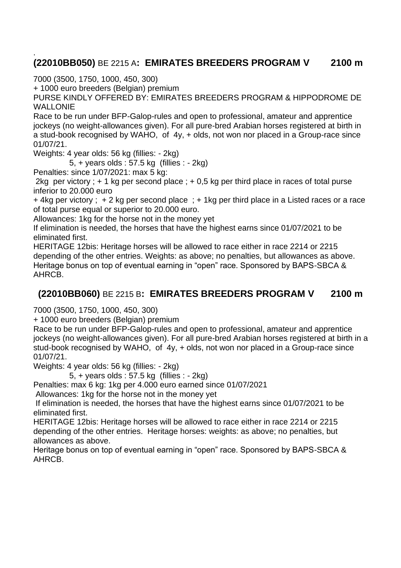#### . **(22010BB050)** BE 2215 A**: EMIRATES BREEDERS PROGRAM V 2100 m**

7000 (3500, 1750, 1000, 450, 300)

+ 1000 euro breeders (Belgian) premium

PURSE KINDLY OFFERED BY: EMIRATES BREEDERS PROGRAM & HIPPODROME DE WALLONIE

Race to be run under BFP-Galop-rules and open to professional, amateur and apprentice jockeys (no weight-allowances given). For all pure-bred Arabian horses registered at birth in a stud-book recognised by WAHO, of 4y, + olds, not won nor placed in a Group-race since 01/07/21.

Weights: 4 year olds: 56 kg (fillies: - 2kg)

5, + years olds : 57.5 kg (fillies : - 2kg)

Penalties: since 1/07/2021: max 5 kg:

2kg per victory ;  $+1$  kg per second place ;  $+0.5$  kg per third place in races of total purse inferior to 20.000 euro

+ 4kg per victory ; + 2 kg per second place ; + 1kg per third place in a Listed races or a race of total purse equal or superior to 20.000 euro.

Allowances: 1kg for the horse not in the money yet

If elimination is needed, the horses that have the highest earns since 01/07/2021 to be eliminated first.

HERITAGE 12bis: Heritage horses will be allowed to race either in race 2214 or 2215 depending of the other entries. Weights: as above; no penalties, but allowances as above. Heritage bonus on top of eventual earning in "open" race. Sponsored by BAPS-SBCA & AHRCB.

### **(22010BB060)** BE 2215 B**: EMIRATES BREEDERS PROGRAM V 2100 m**

7000 (3500, 1750, 1000, 450, 300)

+ 1000 euro breeders (Belgian) premium

Race to be run under BFP-Galop-rules and open to professional, amateur and apprentice jockeys (no weight-allowances given). For all pure-bred Arabian horses registered at birth in a stud-book recognised by WAHO, of 4y, + olds, not won nor placed in a Group-race since 01/07/21.

Weights: 4 year olds: 56 kg (fillies: - 2kg)

5, + years olds : 57.5 kg (fillies : - 2kg)

Penalties: max 6 kg: 1kg per 4.000 euro earned since 01/07/2021

Allowances: 1kg for the horse not in the money yet

If elimination is needed, the horses that have the highest earns since 01/07/2021 to be eliminated first.

HERITAGE 12bis: Heritage horses will be allowed to race either in race 2214 or 2215 depending of the other entries. Heritage horses: weights: as above; no penalties, but allowances as above.

Heritage bonus on top of eventual earning in "open" race. Sponsored by BAPS-SBCA & AHRCB.